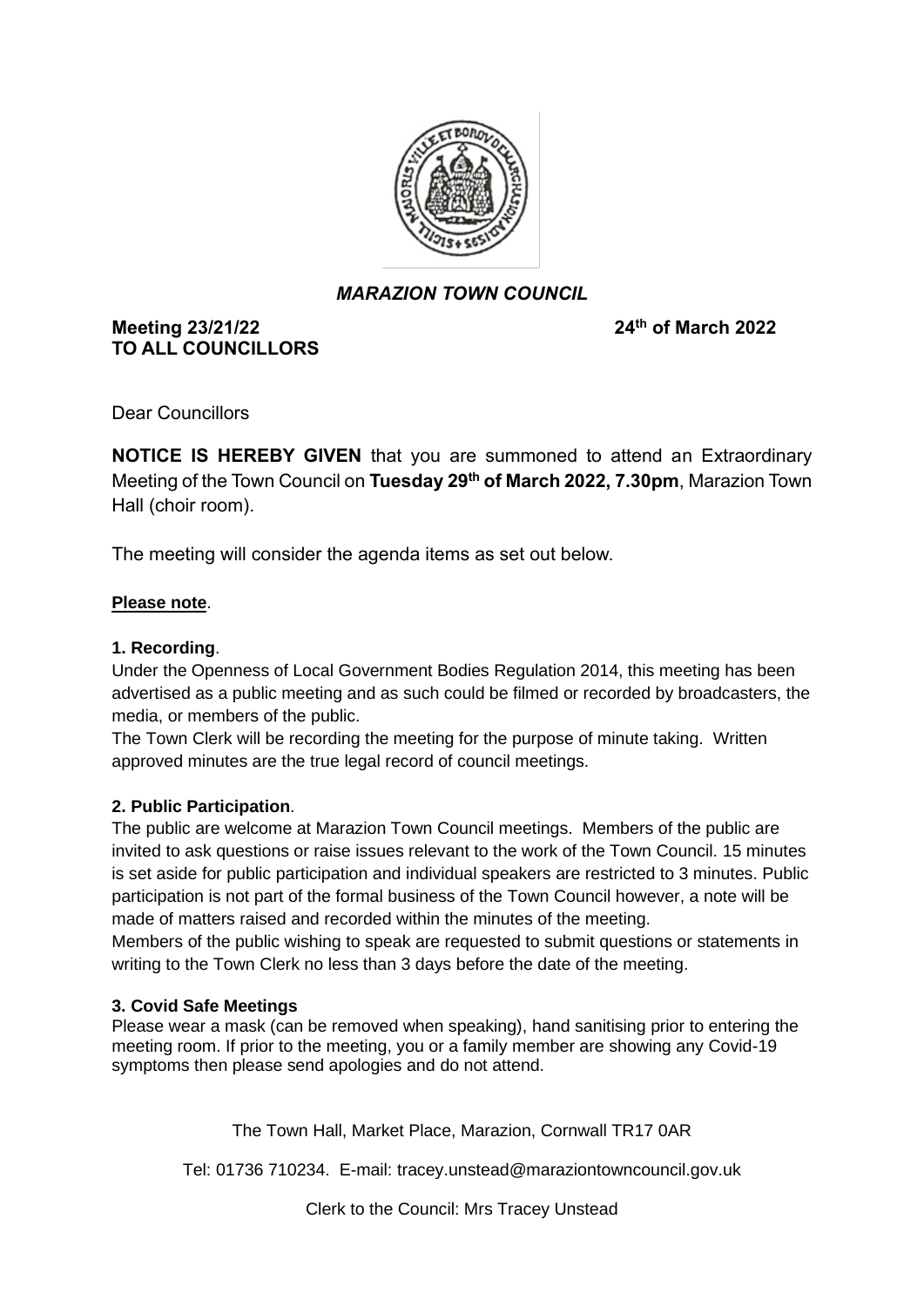

## *MARAZION TOWN COUNCIL*

## **Meeting 23/21/22 TO ALL COUNCILLORS**

**th of March 2022**

Dear Councillors

**NOTICE IS HEREBY GIVEN** that you are summoned to attend an Extraordinary Meeting of the Town Council on **Tuesday 29th of March 2022, 7.30pm**, Marazion Town Hall (choir room).

The meeting will consider the agenda items as set out below.

## **Please note**.

#### **1. Recording**.

Under the Openness of Local Government Bodies Regulation 2014, this meeting has been advertised as a public meeting and as such could be filmed or recorded by broadcasters, the media, or members of the public.

The Town Clerk will be recording the meeting for the purpose of minute taking. Written approved minutes are the true legal record of council meetings.

## **2. Public Participation**.

The public are welcome at Marazion Town Council meetings. Members of the public are invited to ask questions or raise issues relevant to the work of the Town Council. 15 minutes is set aside for public participation and individual speakers are restricted to 3 minutes. Public participation is not part of the formal business of the Town Council however, a note will be made of matters raised and recorded within the minutes of the meeting.

Members of the public wishing to speak are requested to submit questions or statements in writing to the Town Clerk no less than 3 days before the date of the meeting.

## **3. Covid Safe Meetings**

Please wear a mask (can be removed when speaking), hand sanitising prior to entering the meeting room. If prior to the meeting, you or a family member are showing any Covid-19 symptoms then please send apologies and do not attend.

The Town Hall, Market Place, Marazion, Cornwall TR17 0AR

Tel: 01736 710234. E-mail: tracey.unstead@maraziontowncouncil.gov.uk

Clerk to the Council: Mrs Tracey Unstead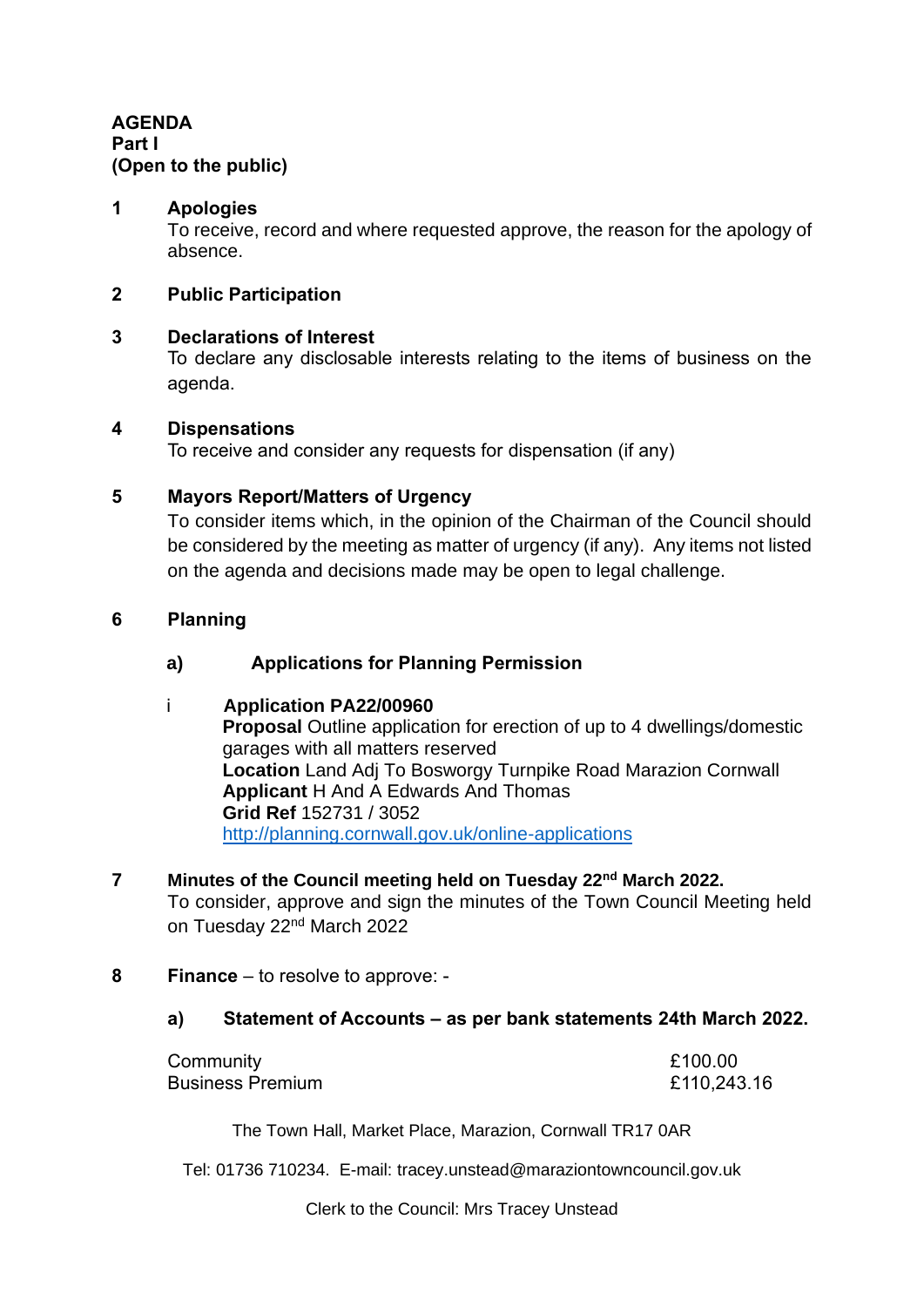**AGENDA Part I (Open to the public)**

## **1 Apologies**

To receive, record and where requested approve, the reason for the apology of absence.

## **2 Public Participation**

## **3 Declarations of Interest**

To declare any disclosable interests relating to the items of business on the agenda.

#### **4 Dispensations**

To receive and consider any requests for dispensation (if any)

## **5 Mayors Report/Matters of Urgency**

To consider items which, in the opinion of the Chairman of the Council should be considered by the meeting as matter of urgency (if any). Any items not listed on the agenda and decisions made may be open to legal challenge.

#### **6 Planning**

## **a) Applications for Planning Permission**

## i **Application PA22/00960**

**Proposal Outline application for erection of up to 4 dwellings/domestic** garages with all matters reserved **Location** Land Adj To Bosworgy Turnpike Road Marazion Cornwall **Applicant** H And A Edwards And Thomas **Grid Ref** 152731 / 3052 <http://planning.cornwall.gov.uk/online-applications>

#### **7 Minutes of the Council meeting held on Tuesday 22nd March 2022.**

To consider, approve and sign the minutes of the Town Council Meeting held on Tuesday 22<sup>nd</sup> March 2022

## **8 Finance** – to resolve to approve: -

## **a) Statement of Accounts – as per bank statements 24th March 2022.**

| Community               | £100.00     |
|-------------------------|-------------|
| <b>Business Premium</b> | £110,243.16 |

The Town Hall, Market Place, Marazion, Cornwall TR17 0AR

Tel: 01736 710234. E-mail: tracey.unstead@maraziontowncouncil.gov.uk

Clerk to the Council: Mrs Tracey Unstead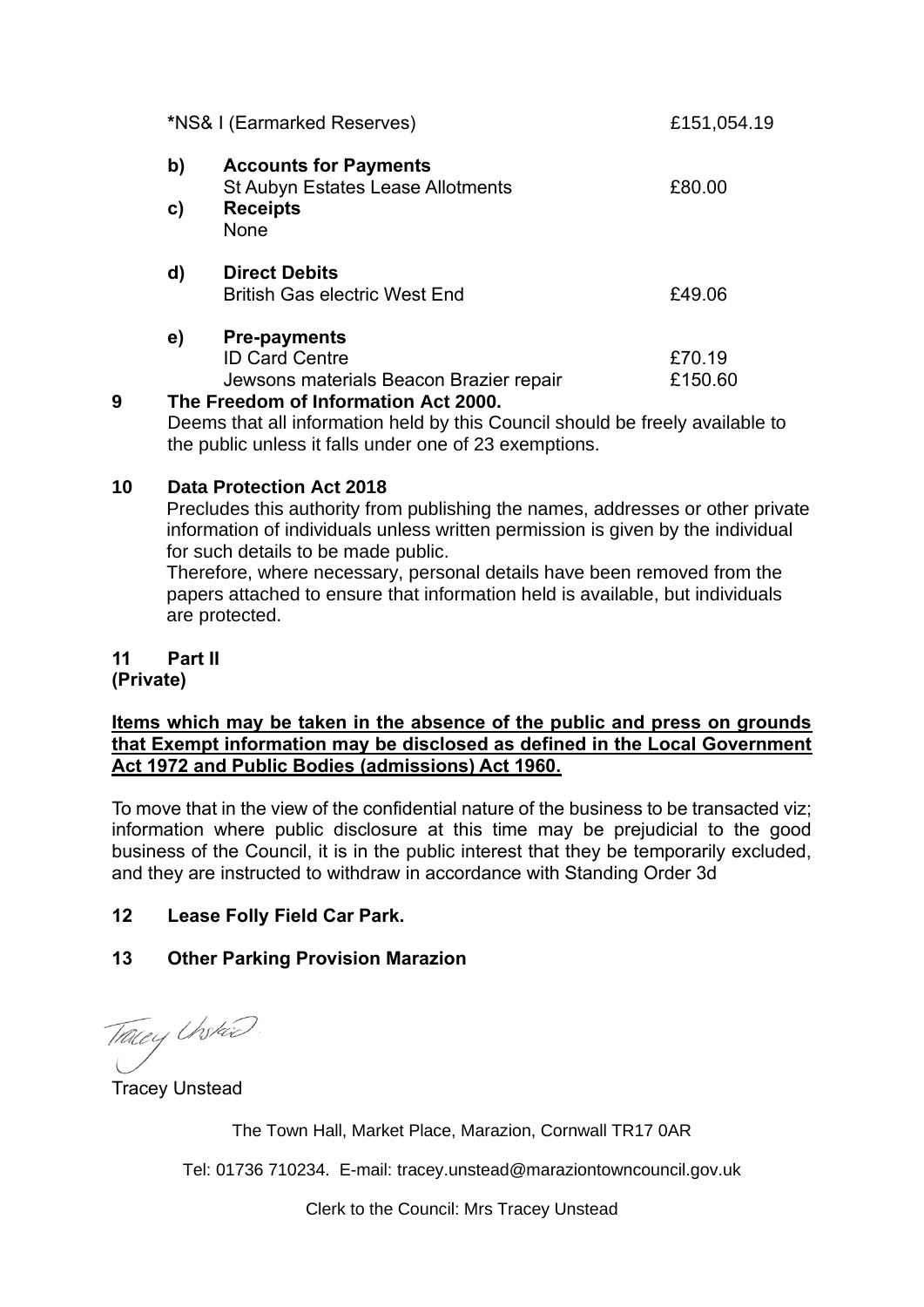|   |    | *NS& I (Earmarked Reserves)                                                             | £151,054.19       |
|---|----|-----------------------------------------------------------------------------------------|-------------------|
|   | b) | <b>Accounts for Payments</b><br><b>St Aubyn Estates Lease Allotments</b>                | £80.00            |
|   | C) | <b>Receipts</b><br><b>None</b>                                                          |                   |
|   | d) | <b>Direct Debits</b><br><b>British Gas electric West End</b>                            | £49.06            |
|   | e) | <b>Pre-payments</b><br><b>ID Card Centre</b><br>Jewsons materials Beacon Brazier repair | £70.19<br>£150.60 |
| 9 |    | The Freedom of Information Act 2000.                                                    |                   |

Deems that all information held by this Council should be freely available to the public unless it falls under one of 23 exemptions.

## **10 Data Protection Act 2018**

Precludes this authority from publishing the names, addresses or other private information of individuals unless written permission is given by the individual for such details to be made public.

Therefore, where necessary, personal details have been removed from the papers attached to ensure that information held is available, but individuals are protected.

# **11 Part II**

**(Private)**

**Items which may be taken in the absence of the public and press on grounds that Exempt information may be disclosed as defined in the Local Government Act 1972 and Public Bodies (admissions) Act 1960.**

To move that in the view of the confidential nature of the business to be transacted viz; information where public disclosure at this time may be prejudicial to the good business of the Council, it is in the public interest that they be temporarily excluded, and they are instructed to withdraw in accordance with Standing Order 3d

# **12 Lease Folly Field Car Park.**

# **13 Other Parking Provision Marazion**

Tracey Unskad.

Tracey Unstead

The Town Hall, Market Place, Marazion, Cornwall TR17 0AR

Tel: 01736 710234. E-mail: tracey.unstead@maraziontowncouncil.gov.uk

Clerk to the Council: Mrs Tracey Unstead